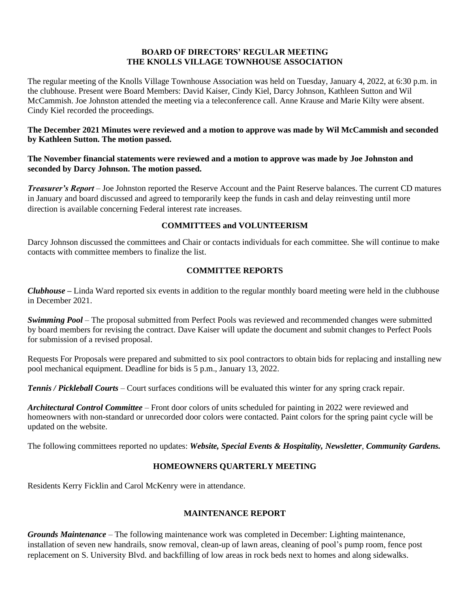#### **BOARD OF DIRECTORS' REGULAR MEETING THE KNOLLS VILLAGE TOWNHOUSE ASSOCIATION**

The regular meeting of the Knolls Village Townhouse Association was held on Tuesday, January 4, 2022, at 6:30 p.m. in the clubhouse. Present were Board Members: David Kaiser, Cindy Kiel, Darcy Johnson, Kathleen Sutton and Wil McCammish. Joe Johnston attended the meeting via a teleconference call. Anne Krause and Marie Kilty were absent. Cindy Kiel recorded the proceedings.

### **The December 2021 Minutes were reviewed and a motion to approve was made by Wil McCammish and seconded by Kathleen Sutton. The motion passed.**

### **The November financial statements were reviewed and a motion to approve was made by Joe Johnston and seconded by Darcy Johnson. The motion passed.**

*Treasurer's Report* – Joe Johnston reported the Reserve Account and the Paint Reserve balances. The current CD matures in January and board discussed and agreed to temporarily keep the funds in cash and delay reinvesting until more direction is available concerning Federal interest rate increases.

## **COMMITTEES and VOLUNTEERISM**

Darcy Johnson discussed the committees and Chair or contacts individuals for each committee. She will continue to make contacts with committee members to finalize the list.

## **COMMITTEE REPORTS**

*Clubhouse* **–** Linda Ward reported six events in addition to the regular monthly board meeting were held in the clubhouse in December 2021.

*Swimming Pool* – The proposal submitted from Perfect Pools was reviewed and recommended changes were submitted by board members for revising the contract. Dave Kaiser will update the document and submit changes to Perfect Pools for submission of a revised proposal.

Requests For Proposals were prepared and submitted to six pool contractors to obtain bids for replacing and installing new pool mechanical equipment. Deadline for bids is 5 p.m., January 13, 2022.

*Tennis / Pickleball Courts* – Court surfaces conditions will be evaluated this winter for any spring crack repair.

*Architectural Control Committee* – Front door colors of units scheduled for painting in 2022 were reviewed and homeowners with non-standard or unrecorded door colors were contacted. Paint colors for the spring paint cycle will be updated on the website.

The following committees reported no updates: *Website, Special Events & Hospitality, Newsletter*, *Community Gardens.*

# **HOMEOWNERS QUARTERLY MEETING**

Residents Kerry Ficklin and Carol McKenry were in attendance.

# **MAINTENANCE REPORT**

*Grounds Maintenance –* The following maintenance work was completed in December: Lighting maintenance, installation of seven new handrails, snow removal, clean-up of lawn areas, cleaning of pool's pump room, fence post replacement on S. University Blvd. and backfilling of low areas in rock beds next to homes and along sidewalks.